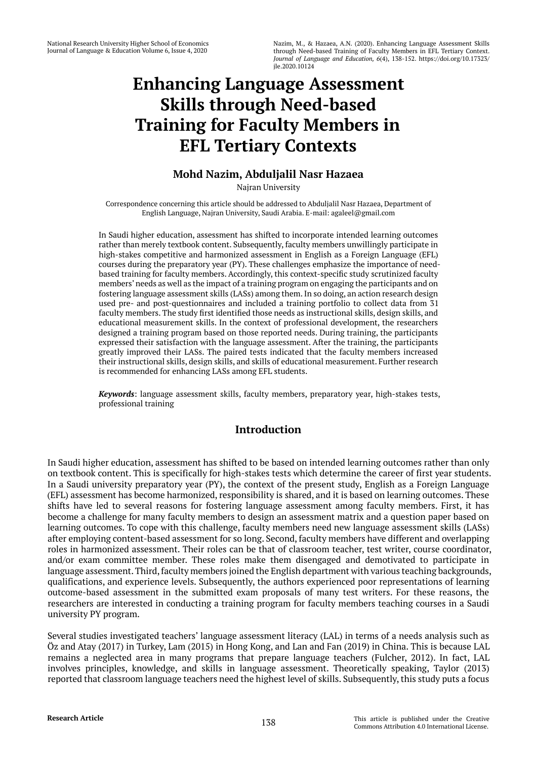# **Enhancing Language Assessment Skills through Need-based Training for Faculty Members in EFL Tertiary Contexts**

## **Mohd Nazim, Abduljalil Nasr Hazaea**

Najran University

Correspondence concerning this article should be addressed to Abduljalil Nasr Hazaea, Department of English Language, Najran University, Saudi Arabia. E-mail: agaleel@gmail.com

In Saudi higher education, assessment has shifted to incorporate intended learning outcomes rather than merely textbook content. Subsequently, faculty members unwillingly participate in high-stakes competitive and harmonized assessment in English as a Foreign Language (EFL) courses during the preparatory year (PY). These challenges emphasize the importance of needbased training for faculty members. Accordingly, this context-specific study scrutinized faculty members' needs as well as the impact of a training program on engaging the participants and on fostering language assessment skills (LASs) among them. In so doing, an action research design used pre- and post-questionnaires and included a training portfolio to collect data from 31 faculty members. The study first identified those needs as instructional skills, design skills, and educational measurement skills. In the context of professional development, the researchers designed a training program based on those reported needs. During training, the participants expressed their satisfaction with the language assessment. After the training, the participants greatly improved their LASs. The paired tests indicated that the faculty members increased their instructional skills, design skills, and skills of educational measurement. Further research is recommended for enhancing LASs among EFL students.

*Keywords*: language assessment skills, faculty members, preparatory year, high-stakes tests, professional training

## **Introduction**

In Saudi higher education, assessment has shifted to be based on intended learning outcomes rather than only on textbook content. This is specifically for high-stakes tests which determine the career of first year students. In a Saudi university preparatory year (PY), the context of the present study, English as a Foreign Language (EFL) assessment has become harmonized, responsibility is shared, and it is based on learning outcomes. These shifts have led to several reasons for fostering language assessment among faculty members. First, it has become a challenge for many faculty members to design an assessment matrix and a question paper based on learning outcomes. To cope with this challenge, faculty members need new language assessment skills (LASs) after employing content-based assessment for so long. Second, faculty members have different and overlapping roles in harmonized assessment. Their roles can be that of classroom teacher, test writer, course coordinator, and/or exam committee member. These roles make them disengaged and demotivated to participate in language assessment. Third, faculty members joined the English department with various teaching backgrounds, qualifications, and experience levels. Subsequently, the authors experienced poor representations of learning outcome-based assessment in the submitted exam proposals of many test writers. For these reasons, the researchers are interested in conducting a training program for faculty members teaching courses in a Saudi university PY program.

Several studies investigated teachers' language assessment literacy (LAL) in terms of a needs analysis such as Öz and Atay (2017) in Turkey, Lam (2015) in Hong Kong, and Lan and Fan (2019) in China. This is because LAL remains a neglected area in many programs that prepare language teachers (Fulcher, 2012). In fact, LAL involves principles, knowledge, and skills in language assessment. Theoretically speaking, Taylor (2013) reported that classroom language teachers need the highest level of skills. Subsequently, this study puts a focus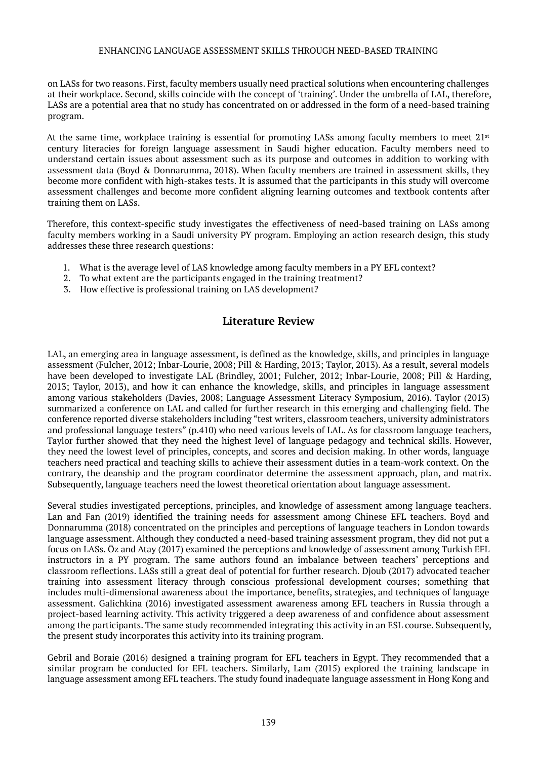on LASs for two reasons. First, faculty members usually need practical solutions when encountering challenges at their workplace. Second, skills coincide with the concept of 'training'. Under the umbrella of LAL, therefore, LASs are a potential area that no study has concentrated on or addressed in the form of a need-based training program.

At the same time, workplace training is essential for promoting LASs among faculty members to meet  $21<sup>st</sup>$ century literacies for foreign language assessment in Saudi higher education. Faculty members need to understand certain issues about assessment such as its purpose and outcomes in addition to working with assessment data (Boyd & Donnarumma, 2018). When faculty members are trained in assessment skills, they become more confident with high-stakes tests. It is assumed that the participants in this study will overcome assessment challenges and become more confident aligning learning outcomes and textbook contents after training them on LASs.

Therefore, this context-specific study investigates the effectiveness of need-based training on LASs among faculty members working in a Saudi university PY program. Employing an action research design, this study addresses these three research questions:

- 1. What is the average level of LAS knowledge among faculty members in a PY EFL context?
- 2. To what extent are the participants engaged in the training treatment?
- 3. How effective is professional training on LAS development?

### **Literature Review**

LAL, an emerging area in language assessment, is defined as the knowledge, skills, and principles in language assessment (Fulcher, 2012; Inbar-Lourie, 2008; Pill & Harding, 2013; Taylor, 2013). As a result, several models have been developed to investigate LAL (Brindley, 2001; Fulcher, 2012; Inbar-Lourie, 2008; Pill & Harding, 2013; Taylor, 2013), and how it can enhance the knowledge, skills, and principles in language assessment among various stakeholders (Davies, 2008; Language Assessment Literacy Symposium, 2016). Taylor (2013) summarized a conference on LAL and called for further research in this emerging and challenging field. The conference reported diverse stakeholders including "test writers, classroom teachers, university administrators and professional language testers" (p.410) who need various levels of LAL. As for classroom language teachers, Taylor further showed that they need the highest level of language pedagogy and technical skills. However, they need the lowest level of principles, concepts, and scores and decision making. In other words, language teachers need practical and teaching skills to achieve their assessment duties in a team-work context. On the contrary, the deanship and the program coordinator determine the assessment approach, plan, and matrix. Subsequently, language teachers need the lowest theoretical orientation about language assessment.

Several studies investigated perceptions, principles, and knowledge of assessment among language teachers. Lan and Fan (2019) identified the training needs for assessment among Chinese EFL teachers. Boyd and Donnarumma (2018) concentrated on the principles and perceptions of language teachers in London towards language assessment. Although they conducted a need-based training assessment program, they did not put a focus on LASs. Öz and Atay (2017) examined the perceptions and knowledge of assessment among Turkish EFL instructors in a PY program. The same authors found an imbalance between teachers' perceptions and classroom reflections. LASs still a great deal of potential for further research. Djoub (2017) advocated teacher training into assessment literacy through conscious professional development courses; something that includes multi-dimensional awareness about the importance, benefits, strategies, and techniques of language assessment. Galichkina (2016) investigated assessment awareness among EFL teachers in Russia through a project-based learning activity. This activity triggered a deep awareness of and confidence about assessment among the participants. The same study recommended integrating this activity in an ESL course. Subsequently, the present study incorporates this activity into its training program.

Gebril and Boraie (2016) designed a training program for EFL teachers in Egypt. They recommended that a similar program be conducted for EFL teachers. Similarly, Lam (2015) explored the training landscape in language assessment among EFL teachers. The study found inadequate language assessment in Hong Kong and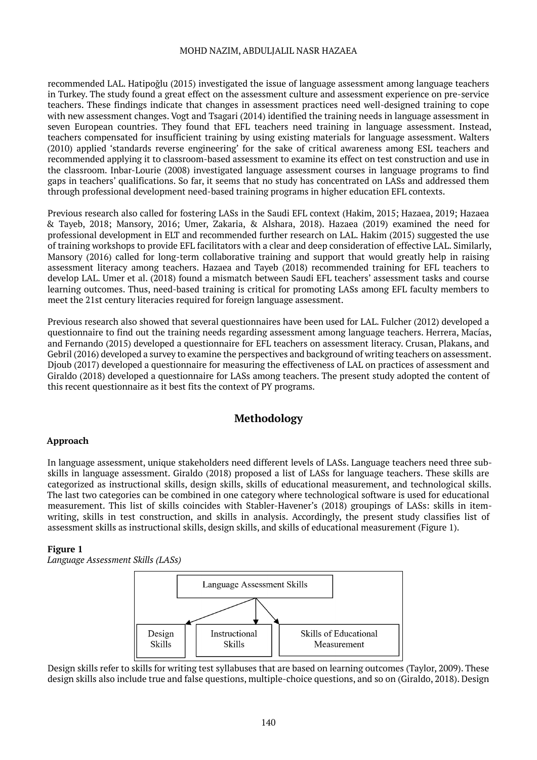recommended LAL. Hatipoğlu (2015) investigated the issue of language assessment among language teachers in Turkey. The study found a great effect on the assessment culture and assessment experience on pre-service teachers. These findings indicate that changes in assessment practices need well-designed training to cope with new assessment changes. Vogt and Tsagari (2014) identified the training needs in language assessment in seven European countries. They found that EFL teachers need training in language assessment. Instead, teachers compensated for insufficient training by using existing materials for language assessment. Walters (2010) applied 'standards reverse engineering' for the sake of critical awareness among ESL teachers and recommended applying it to classroom-based assessment to examine its effect on test construction and use in the classroom. Inbar-Lourie (2008) investigated language assessment courses in language programs to find gaps in teachers' qualifications. So far, it seems that no study has concentrated on LASs and addressed them through professional development need-based training programs in higher education EFL contexts.

Previous research also called for fostering LASs in the Saudi EFL context (Hakim, 2015; Hazaea, 2019; Hazaea & Tayeb, 2018; Mansory, 2016; Umer, Zakaria, & Alshara, 2018). Hazaea (2019) examined the need for professional development in ELT and recommended further research on LAL. Hakim (2015) suggested the use of training workshops to provide EFL facilitators with a clear and deep consideration of effective LAL. Similarly, Mansory (2016) called for long-term collaborative training and support that would greatly help in raising assessment literacy among teachers. Hazaea and Tayeb (2018) recommended training for EFL teachers to develop LAL. Umer et al. (2018) found a mismatch between Saudi EFL teachers' assessment tasks and course learning outcomes. Thus, need-based training is critical for promoting LASs among EFL faculty members to meet the 21st century literacies required for foreign language assessment.

Previous research also showed that several questionnaires have been used for LAL. Fulcher (2012) developed a questionnaire to find out the training needs regarding assessment among language teachers. Herrera, Macías, and Fernando (2015) developed a questionnaire for EFL teachers on assessment literacy. Crusan, Plakans, and Gebril (2016) developed a survey to examine the perspectives and background of writing teachers on assessment. Djoub (2017) developed a questionnaire for measuring the effectiveness of LAL on practices of assessment and Giraldo (2018) developed a questionnaire for LASs among teachers. The present study adopted the content of this recent questionnaire as it best fits the context of PY programs.

## **Methodology**

#### **Approach**

In language assessment, unique stakeholders need different levels of LASs. Language teachers need three subskills in language assessment. Giraldo (2018) proposed a list of LASs for language teachers. These skills are categorized as instructional skills, design skills, skills of educational measurement, and technological skills. The last two categories can be combined in one category where technological software is used for educational measurement. This list of skills coincides with Stabler-Havener's (2018) groupings of LASs: skills in itemwriting, skills in test construction, and skills in analysis. Accordingly, the present study classifies list of assessment skills as instructional skills, design skills, and skills of educational measurement (Figure 1).

#### **Figure 1**

*Language Assessment Skills (LASs)*



Design skills refer to skills for writing test syllabuses that are based on learning outcomes (Taylor, 2009). These design skills also include true and false questions, multiple-choice questions, and so on (Giraldo, 2018). Design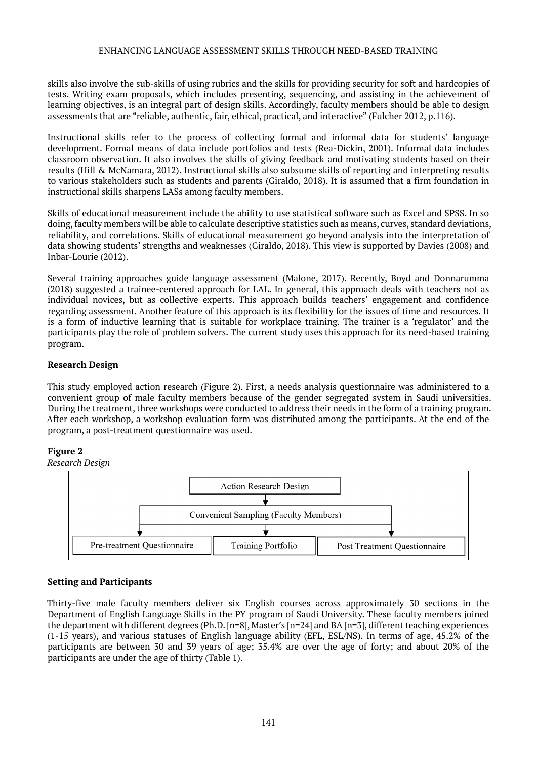skills also involve the sub-skills of using rubrics and the skills for providing security for soft and hardcopies of tests. Writing exam proposals, which includes presenting, sequencing, and assisting in the achievement of learning objectives, is an integral part of design skills. Accordingly, faculty members should be able to design assessments that are "reliable, authentic, fair, ethical, practical, and interactive" (Fulcher 2012, p.116).

Instructional skills refer to the process of collecting formal and informal data for students' language development. Formal means of data include portfolios and tests (Rea-Dickin, 2001). Informal data includes classroom observation. It also involves the skills of giving feedback and motivating students based on their results (Hill & McNamara, 2012). Instructional skills also subsume skills of reporting and interpreting results to various stakeholders such as students and parents (Giraldo, 2018). It is assumed that a firm foundation in instructional skills sharpens LASs among faculty members.

Skills of educational measurement include the ability to use statistical software such as Excel and SPSS. In so doing, faculty members will be able to calculate descriptive statistics such as means, curves, standard deviations, reliability, and correlations. Skills of educational measurement go beyond analysis into the interpretation of data showing students' strengths and weaknesses (Giraldo, 2018). This view is supported by Davies (2008) and Inbar-Lourie (2012).

Several training approaches guide language assessment (Malone, 2017). Recently, Boyd and Donnarumma (2018) suggested a trainee-centered approach for LAL. In general, this approach deals with teachers not as individual novices, but as collective experts. This approach builds teachers' engagement and confidence regarding assessment. Another feature of this approach is its flexibility for the issues of time and resources. It is a form of inductive learning that is suitable for workplace training. The trainer is a 'regulator' and the participants play the role of problem solvers. The current study uses this approach for its need-based training program.

#### **Research Design**

This study employed action research (Figure 2). First, a needs analysis questionnaire was administered to a convenient group of male faculty members because of the gender segregated system in Saudi universities. During the treatment, three workshops were conducted to address their needs in the form of a training program. After each workshop, a workshop evaluation form was distributed among the participants. At the end of the program, a post-treatment questionnaire was used.

#### **Figure 2**



## **Setting and Participants**

Thirty-five male faculty members deliver six English courses across approximately 30 sections in the Department of English Language Skills in the PY program of Saudi University. These faculty members joined the department with different degrees (Ph.D. [n=8], Master's [n=24] and BA [n=3], different teaching experiences (1-15 years), and various statuses of English language ability (EFL, ESL/NS). In terms of age, 45.2% of the participants are between 30 and 39 years of age; 35.4% are over the age of forty; and about 20% of the participants are under the age of thirty (Table 1).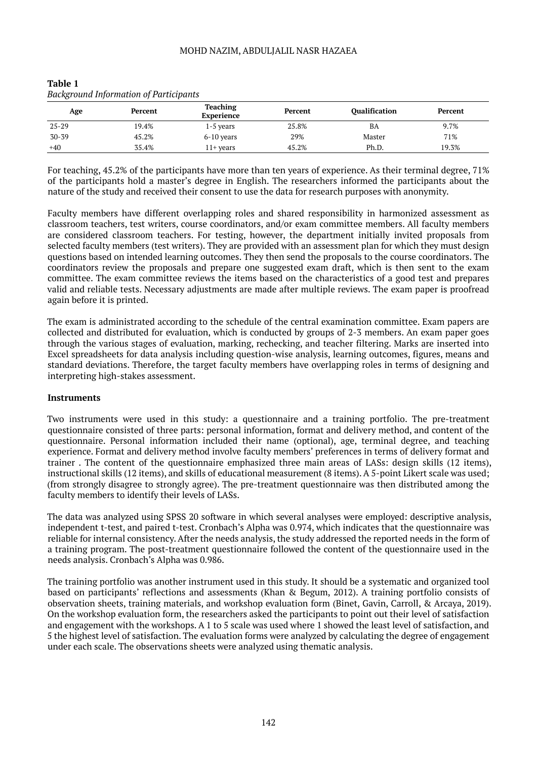| <b>Background Information of Participants</b> |         |                               |                         |                      |         |  |  |  |
|-----------------------------------------------|---------|-------------------------------|-------------------------|----------------------|---------|--|--|--|
| Age                                           | Percent | <b>Teaching</b><br>Experience | Percent<br>25.8%<br>29% | <b>Oualification</b> | Percent |  |  |  |
| $25 - 29$                                     | 19.4%   | $1-5$ vears                   |                         | BA                   | 9.7%    |  |  |  |
| $30 - 39$                                     | 45.2%   | $6-10$ years                  |                         | Master               | 71%     |  |  |  |
| $+40$                                         | 35.4%   | $11+$ years                   | 45.2%                   | Ph.D.                | 19.3%   |  |  |  |

# **Table 1**

For teaching, 45.2% of the participants have more than ten years of experience. As their terminal degree, 71% of the participants hold a master's degree in English. The researchers informed the participants about the nature of the study and received their consent to use the data for research purposes with anonymity.

Faculty members have different overlapping roles and shared responsibility in harmonized assessment as classroom teachers, test writers, course coordinators, and/or exam committee members. All faculty members are considered classroom teachers. For testing, however, the department initially invited proposals from selected faculty members (test writers). They are provided with an assessment plan for which they must design questions based on intended learning outcomes. They then send the proposals to the course coordinators. The coordinators review the proposals and prepare one suggested exam draft, which is then sent to the exam committee. The exam committee reviews the items based on the characteristics of a good test and prepares valid and reliable tests. Necessary adjustments are made after multiple reviews. The exam paper is proofread again before it is printed.

The exam is administrated according to the schedule of the central examination committee. Exam papers are collected and distributed for evaluation, which is conducted by groups of 2-3 members. An exam paper goes through the various stages of evaluation, marking, rechecking, and teacher filtering. Marks are inserted into Excel spreadsheets for data analysis including question-wise analysis, learning outcomes, figures, means and standard deviations. Therefore, the target faculty members have overlapping roles in terms of designing and interpreting high-stakes assessment.

#### **Instruments**

Two instruments were used in this study: a questionnaire and a training portfolio. The pre-treatment questionnaire consisted of three parts: personal information, format and delivery method, and content of the questionnaire. Personal information included their name (optional), age, terminal degree, and teaching experience. Format and delivery method involve faculty members' preferences in terms of delivery format and trainer . The content of the questionnaire emphasized three main areas of LASs: design skills (12 items), instructional skills (12 items), and skills of educational measurement (8 items). A 5-point Likert scale was used; (from strongly disagree to strongly agree). The pre-treatment questionnaire was then distributed among the faculty members to identify their levels of LASs.

The data was analyzed using SPSS 20 software in which several analyses were employed: descriptive analysis, independent t-test, and paired t-test. Cronbach's Alpha was 0.974, which indicates that the questionnaire was reliable for internal consistency. After the needs analysis, the study addressed the reported needs in the form of a training program. The post-treatment questionnaire followed the content of the questionnaire used in the needs analysis. Cronbach's Alpha was 0.986.

The training portfolio was another instrument used in this study. It should be a systematic and organized tool based on participants' reflections and assessments (Khan & Begum, 2012). A training portfolio consists of observation sheets, training materials, and workshop evaluation form (Binet, Gavin, Carroll, & Arcaya, 2019). On the workshop evaluation form, the researchers asked the participants to point out their level of satisfaction and engagement with the workshops. A 1 to 5 scale was used where 1 showed the least level of satisfaction, and 5 the highest level of satisfaction. The evaluation forms were analyzed by calculating the degree of engagement under each scale. The observations sheets were analyzed using thematic analysis.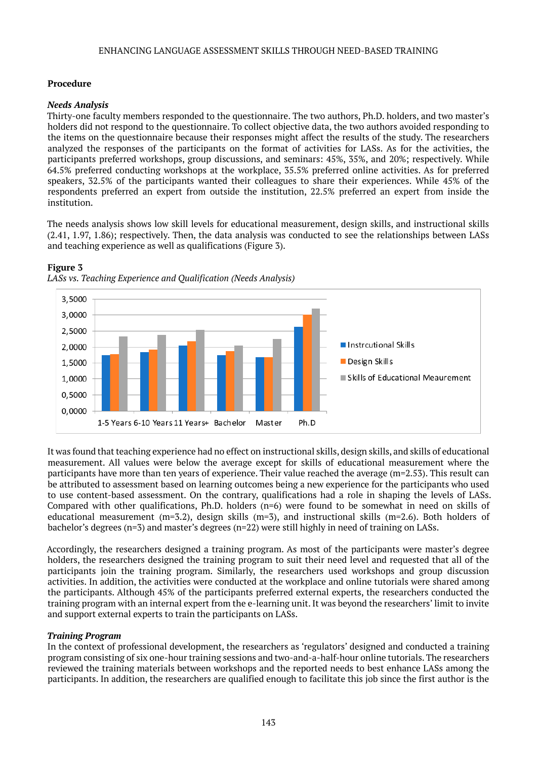#### **Procedure**

#### *Needs Analysis*

Thirty-one faculty members responded to the questionnaire. The two authors, Ph.D. holders, and two master's holders did not respond to the questionnaire. To collect objective data, the two authors avoided responding to the items on the questionnaire because their responses might affect the results of the study. The researchers analyzed the responses of the participants on the format of activities for LASs. As for the activities, the participants preferred workshops, group discussions, and seminars: 45%, 35%, and 20%; respectively. While 64.5% preferred conducting workshops at the workplace, 35.5% preferred online activities. As for preferred speakers, 32.5% of the participants wanted their colleagues to share their experiences. While 45% of the respondents preferred an expert from outside the institution, 22.5% preferred an expert from inside the institution.

The needs analysis shows low skill levels for educational measurement, design skills, and instructional skills (2.41, 1.97, 1.86); respectively. Then, the data analysis was conducted to see the relationships between LASs and teaching experience as well as qualifications (Figure 3).



#### **Figure 3**

*LASs vs. Teaching Experience and Qualification (Needs Analysis)*

It was found that teaching experience had no effect on instructional skills, design skills, and skills of educational measurement. All values were below the average except for skills of educational measurement where the participants have more than ten years of experience. Their value reached the average (m=2.53). This result can be attributed to assessment based on learning outcomes being a new experience for the participants who used to use content-based assessment. On the contrary, qualifications had a role in shaping the levels of LASs. Compared with other qualifications, Ph.D. holders (n=6) were found to be somewhat in need on skills of educational measurement (m=3.2), design skills (m=3), and instructional skills (m=2.6). Both holders of bachelor's degrees (n=3) and master's degrees (n=22) were still highly in need of training on LASs.

Accordingly, the researchers designed a training program. As most of the participants were master's degree holders, the researchers designed the training program to suit their need level and requested that all of the participants join the training program. Similarly, the researchers used workshops and group discussion activities. In addition, the activities were conducted at the workplace and online tutorials were shared among the participants. Although 45% of the participants preferred external experts, the researchers conducted the training program with an internal expert from the e-learning unit. It was beyond the researchers' limit to invite and support external experts to train the participants on LASs.

#### *Training Program*

In the context of professional development, the researchers as 'regulators' designed and conducted a training program consisting of six one-hour training sessions and two-and-a-half-hour online tutorials. The researchers reviewed the training materials between workshops and the reported needs to best enhance LASs among the participants. In addition, the researchers are qualified enough to facilitate this job since the first author is the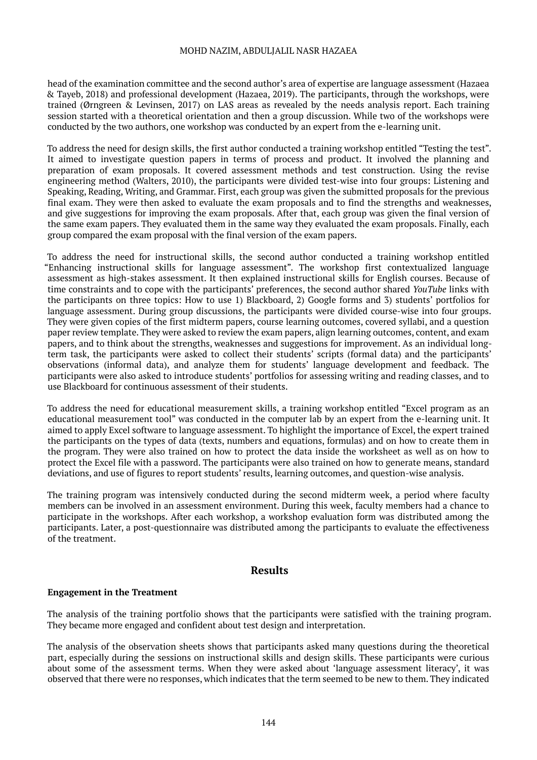head of the examination committee and the second author's area of expertise are language assessment (Hazaea & Tayeb, 2018) and professional development (Hazaea, 2019). The participants, through the workshops, were trained (Ørngreen & Levinsen, 2017) on LAS areas as revealed by the needs analysis report. Each training session started with a theoretical orientation and then a group discussion. While two of the workshops were conducted by the two authors, one workshop was conducted by an expert from the e-learning unit.

To address the need for design skills, the first author conducted a training workshop entitled "Testing the test". It aimed to investigate question papers in terms of process and product. It involved the planning and preparation of exam proposals. It covered assessment methods and test construction. Using the revise engineering method (Walters, 2010), the participants were divided test-wise into four groups: Listening and Speaking, Reading, Writing, and Grammar. First, each group was given the submitted proposals for the previous final exam. They were then asked to evaluate the exam proposals and to find the strengths and weaknesses, and give suggestions for improving the exam proposals. After that, each group was given the final version of the same exam papers. They evaluated them in the same way they evaluated the exam proposals. Finally, each group compared the exam proposal with the final version of the exam papers.

To address the need for instructional skills, the second author conducted a training workshop entitled "Enhancing instructional skills for language assessment". The workshop first contextualized language assessment as high-stakes assessment. It then explained instructional skills for English courses. Because of time constraints and to cope with the participants' preferences, the second author shared *YouTube* links with the participants on three topics: How to use 1) Blackboard, 2) Google forms and 3) students' portfolios for language assessment. During group discussions, the participants were divided course-wise into four groups. They were given copies of the first midterm papers, course learning outcomes, covered syllabi, and a question paper review template. They were asked to review the exam papers, align learning outcomes, content, and exam papers, and to think about the strengths, weaknesses and suggestions for improvement. As an individual longterm task, the participants were asked to collect their students' scripts (formal data) and the participants' observations (informal data), and analyze them for students' language development and feedback. The participants were also asked to introduce students' portfolios for assessing writing and reading classes, and to use Blackboard for continuous assessment of their students.

To address the need for educational measurement skills, a training workshop entitled "Excel program as an educational measurement tool" was conducted in the computer lab by an expert from the e-learning unit. It aimed to apply Excel software to language assessment. To highlight the importance of Excel, the expert trained the participants on the types of data (texts, numbers and equations, formulas) and on how to create them in the program. They were also trained on how to protect the data inside the worksheet as well as on how to protect the Excel file with a password. The participants were also trained on how to generate means, standard deviations, and use of figures to report students' results, learning outcomes, and question-wise analysis.

The training program was intensively conducted during the second midterm week, a period where faculty members can be involved in an assessment environment. During this week, faculty members had a chance to participate in the workshops. After each workshop, a workshop evaluation form was distributed among the participants. Later, a post-questionnaire was distributed among the participants to evaluate the effectiveness of the treatment.

#### **Results**

#### **Engagement in the Treatment**

The analysis of the training portfolio shows that the participants were satisfied with the training program. They became more engaged and confident about test design and interpretation.

The analysis of the observation sheets shows that participants asked many questions during the theoretical part, especially during the sessions on instructional skills and design skills. These participants were curious about some of the assessment terms. When they were asked about 'language assessment literacy', it was observed that there were no responses, which indicates that the term seemed to be new to them. They indicated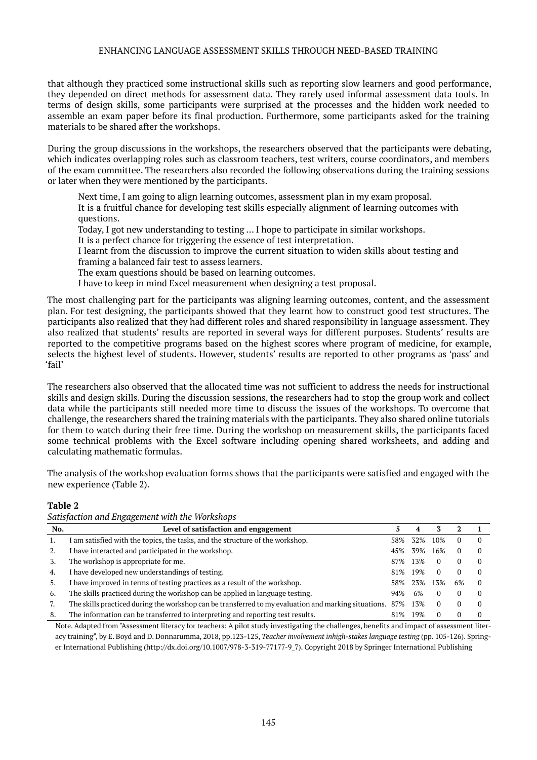that although they practiced some instructional skills such as reporting slow learners and good performance, they depended on direct methods for assessment data. They rarely used informal assessment data tools. In terms of design skills, some participants were surprised at the processes and the hidden work needed to assemble an exam paper before its final production. Furthermore, some participants asked for the training materials to be shared after the workshops.

During the group discussions in the workshops, the researchers observed that the participants were debating, which indicates overlapping roles such as classroom teachers, test writers, course coordinators, and members of the exam committee. The researchers also recorded the following observations during the training sessions or later when they were mentioned by the participants.

Next time, I am going to align learning outcomes, assessment plan in my exam proposal. It is a fruitful chance for developing test skills especially alignment of learning outcomes with questions.

Today, I got new understanding to testing … I hope to participate in similar workshops.

It is a perfect chance for triggering the essence of test interpretation.

I learnt from the discussion to improve the current situation to widen skills about testing and framing a balanced fair test to assess learners.

The exam questions should be based on learning outcomes.

I have to keep in mind Excel measurement when designing a test proposal.

The most challenging part for the participants was aligning learning outcomes, content, and the assessment plan. For test designing, the participants showed that they learnt how to construct good test structures. The participants also realized that they had different roles and shared responsibility in language assessment. They also realized that students' results are reported in several ways for different purposes. Students' results are reported to the competitive programs based on the highest scores where program of medicine, for example, selects the highest level of students. However, students' results are reported to other programs as 'pass' and 'fail'

The researchers also observed that the allocated time was not sufficient to address the needs for instructional skills and design skills. During the discussion sessions, the researchers had to stop the group work and collect data while the participants still needed more time to discuss the issues of the workshops. To overcome that challenge, the researchers shared the training materials with the participants. They also shared online tutorials for them to watch during their free time. During the workshop on measurement skills, the participants faced some technical problems with the Excel software including opening shared worksheets, and adding and calculating mathematic formulas.

The analysis of the workshop evaluation forms shows that the participants were satisfied and engaged with the new experience (Table 2).

**Table 2**

| No. | Level of satisfaction and engagement                                                                     |     | 4   |     |    |  |
|-----|----------------------------------------------------------------------------------------------------------|-----|-----|-----|----|--|
|     | I am satisfied with the topics, the tasks, and the structure of the workshop.                            | 58% | 32% | 10% |    |  |
| 2.  | I have interacted and participated in the workshop.                                                      | 45% | 39% | 16% |    |  |
| 3.  | The workshop is appropriate for me.                                                                      | 87% | 13% | 0   |    |  |
| 4.  | I have developed new understandings of testing.                                                          | 81% | 19% | 0   |    |  |
| 5.  | I have improved in terms of testing practices as a result of the workshop.                               | 58% | 23% | 13% | 6% |  |
| 6.  | The skills practiced during the workshop can be applied in language testing.                             | 94% | 6%  | 0   |    |  |
| 7.  | The skills practiced during the workshop can be transferred to my evaluation and marking situations. 87% |     | 13% | 0   |    |  |
| 8.  | The information can be transferred to interpreting and reporting test results.                           | 81% | 19% | 0   |    |  |

*Satisfaction and Engagement with the Workshops*

Note. Adapted from "Assessment literacy for teachers: A pilot study investigating the challenges, benefits and impact of assessment literacy training", by E. Boyd and D. Donnarumma, 2018, pp.123-125, *Teacher involvement inhigh-stakes language testing* (pp. 105-126). Spring-er International Publishing [\(http://dx.doi.org/10.1007/978-3-319-77177-9\\_7](http://dx.doi.org/10.1007/978-3-319-77177-9_7)). Copyright 2018 by Springer International Publishing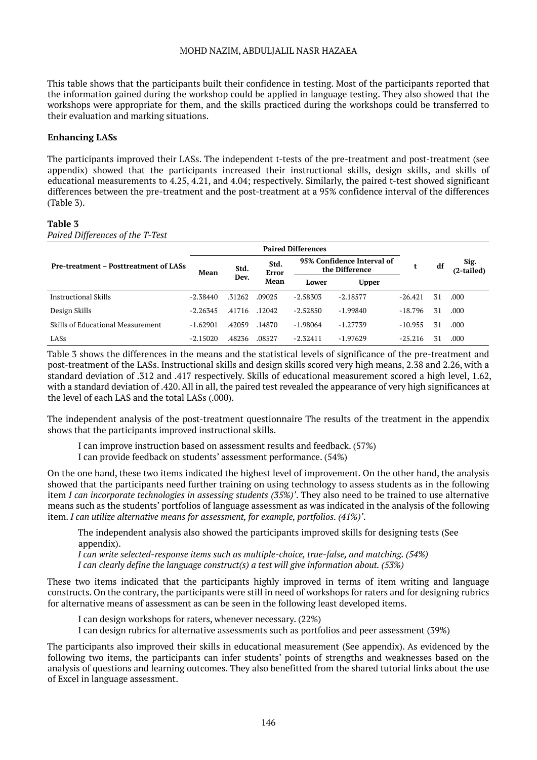This table shows that the participants built their confidence in testing. Most of the participants reported that the information gained during the workshop could be applied in language testing. They also showed that the workshops were appropriate for them, and the skills practiced during the workshops could be transferred to their evaluation and marking situations.

#### **Enhancing LASs**

The participants improved their LASs. The independent t-tests of the pre-treatment and post-treatment (see appendix) showed that the participants increased their instructional skills, design skills, and skills of educational measurements to 4.25, 4.21, and 4.04; respectively. Similarly, the paired t-test showed significant differences between the pre-treatment and the post-treatment at a 95% confidence interval of the differences (Table 3).

#### **Table 3**

*Paired Differences of the T-Test*

|                                              | <b>Paired Differences</b> |              |                       |                                              |              |           |    |                    |
|----------------------------------------------|---------------------------|--------------|-----------------------|----------------------------------------------|--------------|-----------|----|--------------------|
| <b>Pre-treatment – Posttreatment of LASs</b> | Mean                      | Std.<br>Dev. | Std.<br>Error<br>Mean | 95% Confidence Interval of<br>the Difference |              |           | df | Sig.<br>(2-tailed) |
|                                              |                           |              |                       | Lower                                        | <b>Upper</b> |           |    |                    |
| Instructional Skills                         | $-2.38440$                | .31262       | .09025                | $-2.58303$                                   | $-2.18577$   | $-26.421$ | 31 | .000.              |
| Design Skills                                | $-2.26345$                | .41716       | .12042                | $-2.52850$                                   | $-1.99840$   | $-18.796$ | 31 | .000.              |
| Skills of Educational Measurement            | $-1.62901$                | .42059       | .14870                | $-1.98064$                                   | $-1.27739$   | $-10.955$ | 31 | .000.              |
| LASs                                         | $-2.15020$                | .48236       | .08527                | $-2.32411$                                   | $-1.97629$   | $-25.216$ |    | .000               |

Table 3 shows the differences in the means and the statistical levels of significance of the pre-treatment and post-treatment of the LASs. Instructional skills and design skills scored very high means, 2.38 and 2.26, with a standard deviation of .312 and .417 respectively. Skills of educational measurement scored a high level, 1.62, with a standard deviation of .420. All in all, the paired test revealed the appearance of very high significances at the level of each LAS and the total LASs (.000).

The independent analysis of the post-treatment questionnaire The results of the treatment in the appendix shows that the participants improved instructional skills.

I can improve instruction based on assessment results and feedback. (57%)

I can provide feedback on students' assessment performance. (54%)

On the one hand, these two items indicated the highest level of improvement. On the other hand, the analysis showed that the participants need further training on using technology to assess students as in the following item *I can incorporate technologies in assessing students (35%)'*. They also need to be trained to use alternative means such as the students' portfolios of language assessment as was indicated in the analysis of the following item. *I can utilize alternative means for assessment, for example, portfolios. (41%)'*.

The independent analysis also showed the participants improved skills for designing tests (See appendix).

*I can write selected-response items such as multiple-choice, true-false, and matching. (54%) I can clearly define the language construct(s) a test will give information about. (53%)*

These two items indicated that the participants highly improved in terms of item writing and language constructs. On the contrary, the participants were still in need of workshops for raters and for designing rubrics for alternative means of assessment as can be seen in the following least developed items.

I can design workshops for raters, whenever necessary. (22%)

I can design rubrics for alternative assessments such as portfolios and peer assessment (39%)

The participants also improved their skills in educational measurement (See appendix). As evidenced by the following two items, the participants can infer students' points of strengths and weaknesses based on the analysis of questions and learning outcomes. They also benefitted from the shared tutorial links about the use of Excel in language assessment.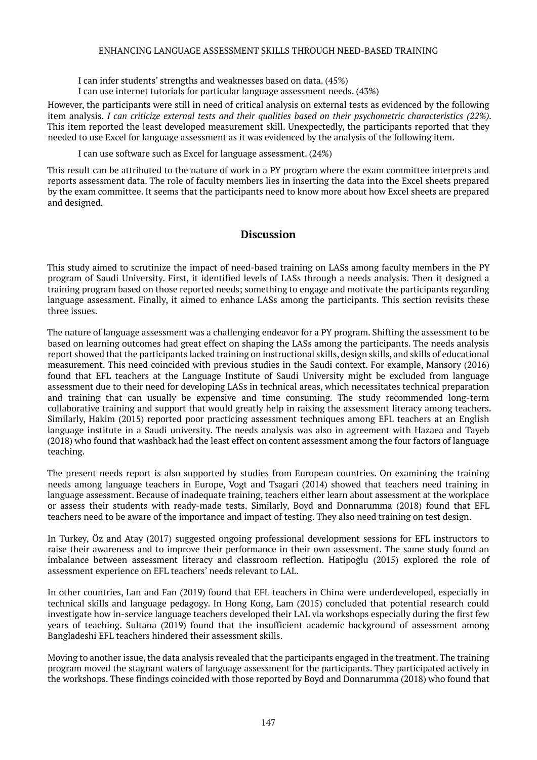I can infer students' strengths and weaknesses based on data. (45%)

I can use internet tutorials for particular language assessment needs. (43%)

However, the participants were still in need of critical analysis on external tests as evidenced by the following item analysis. *I can criticize external tests and their qualities based on their psychometric characteristics (22%).*  This item reported the least developed measurement skill. Unexpectedly, the participants reported that they needed to use Excel for language assessment as it was evidenced by the analysis of the following item.

I can use software such as Excel for language assessment. (24%)

This result can be attributed to the nature of work in a PY program where the exam committee interprets and reports assessment data. The role of faculty members lies in inserting the data into the Excel sheets prepared by the exam committee. It seems that the participants need to know more about how Excel sheets are prepared and designed.

### **Discussion**

This study aimed to scrutinize the impact of need-based training on LASs among faculty members in the PY program of Saudi University. First, it identified levels of LASs through a needs analysis. Then it designed a training program based on those reported needs; something to engage and motivate the participants regarding language assessment. Finally, it aimed to enhance LASs among the participants. This section revisits these three issues.

The nature of language assessment was a challenging endeavor for a PY program. Shifting the assessment to be based on learning outcomes had great effect on shaping the LASs among the participants. The needs analysis report showed that the participants lacked training on instructional skills, design skills, and skills of educational measurement. This need coincided with previous studies in the Saudi context. For example, Mansory (2016) found that EFL teachers at the Language Institute of Saudi University might be excluded from language assessment due to their need for developing LASs in technical areas, which necessitates technical preparation and training that can usually be expensive and time consuming. The study recommended long-term collaborative training and support that would greatly help in raising the assessment literacy among teachers. Similarly, Hakim (2015) reported poor practicing assessment techniques among EFL teachers at an English language institute in a Saudi university. The needs analysis was also in agreement with Hazaea and Tayeb (2018) who found that washback had the least effect on content assessment among the four factors of language teaching.

The present needs report is also supported by studies from European countries. On examining the training needs among language teachers in Europe, Vogt and Tsagari (2014) showed that teachers need training in language assessment. Because of inadequate training, teachers either learn about assessment at the workplace or assess their students with ready-made tests. Similarly, Boyd and Donnarumma (2018) found that EFL teachers need to be aware of the importance and impact of testing. They also need training on test design.

In Turkey, Öz and Atay (2017) suggested ongoing professional development sessions for EFL instructors to raise their awareness and to improve their performance in their own assessment. The same study found an imbalance between assessment literacy and classroom reflection. Hatipoğlu (2015) explored the role of assessment experience on EFL teachers' needs relevant to LAL.

In other countries, Lan and Fan (2019) found that EFL teachers in China were underdeveloped, especially in technical skills and language pedagogy. In Hong Kong, Lam (2015) concluded that potential research could investigate how in-service language teachers developed their LAL via workshops especially during the first few years of teaching. Sultana (2019) found that the insufficient academic background of assessment among Bangladeshi EFL teachers hindered their assessment skills.

Moving to another issue, the data analysis revealed that the participants engaged in the treatment. The training program moved the stagnant waters of language assessment for the participants. They participated actively in the workshops. These findings coincided with those reported by Boyd and Donnarumma (2018) who found that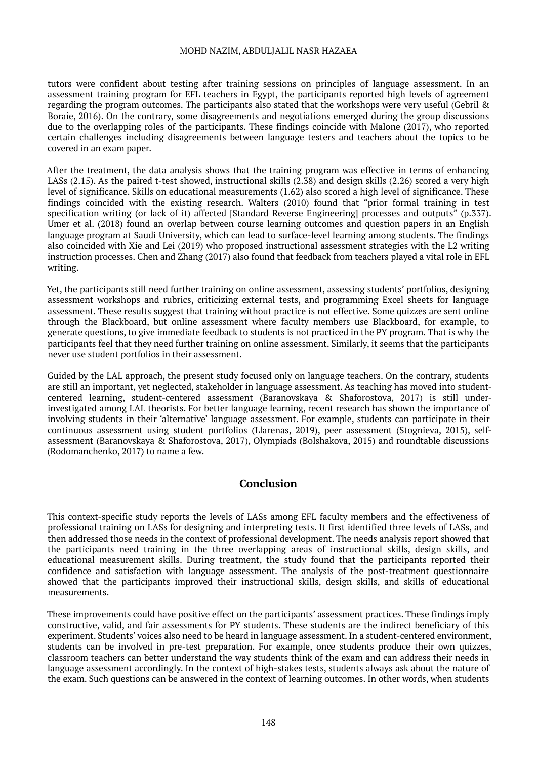tutors were confident about testing after training sessions on principles of language assessment. In an assessment training program for EFL teachers in Egypt, the participants reported high levels of agreement regarding the program outcomes. The participants also stated that the workshops were very useful (Gebril & Boraie, 2016). On the contrary, some disagreements and negotiations emerged during the group discussions due to the overlapping roles of the participants. These findings coincide with Malone (2017), who reported certain challenges including disagreements between language testers and teachers about the topics to be covered in an exam paper.

After the treatment, the data analysis shows that the training program was effective in terms of enhancing LASs (2.15). As the paired t-test showed, instructional skills (2.38) and design skills (2.26) scored a very high level of significance. Skills on educational measurements (1.62) also scored a high level of significance. These findings coincided with the existing research. Walters (2010) found that "prior formal training in test specification writing (or lack of it) affected [Standard Reverse Engineering] processes and outputs" (p.337). Umer et al. (2018) found an overlap between course learning outcomes and question papers in an English language program at Saudi University, which can lead to surface-level learning among students. The findings also coincided with Xie and Lei (2019) who proposed instructional assessment strategies with the L2 writing instruction processes. Chen and Zhang (2017) also found that feedback from teachers played a vital role in EFL writing.

Yet, the participants still need further training on online assessment, assessing students' portfolios, designing assessment workshops and rubrics, criticizing external tests, and programming Excel sheets for language assessment. These results suggest that training without practice is not effective. Some quizzes are sent online through the Blackboard, but online assessment where faculty members use Blackboard, for example, to generate questions, to give immediate feedback to students is not practiced in the PY program. That is why the participants feel that they need further training on online assessment. Similarly, it seems that the participants never use student portfolios in their assessment.

Guided by the LAL approach, the present study focused only on language teachers. On the contrary, students are still an important, yet neglected, stakeholder in language assessment. As teaching has moved into studentcentered learning, student-centered assessment (Baranovskaya & Shaforostova, 2017) is still underinvestigated among LAL theorists. For better language learning, recent research has shown the importance of involving students in their 'alternative' language assessment. For example, students can participate in their continuous assessment using student portfolios (Llarenas, 2019), peer assessment (Stognieva, 2015), selfassessment (Baranovskaya & Shaforostova, 2017), Olympiads (Bolshakova, 2015) and roundtable discussions (Rodomanchenko, 2017) to name a few.

## **Conclusion**

This context-specific study reports the levels of LASs among EFL faculty members and the effectiveness of professional training on LASs for designing and interpreting tests. It first identified three levels of LASs, and then addressed those needs in the context of professional development. The needs analysis report showed that the participants need training in the three overlapping areas of instructional skills, design skills, and educational measurement skills. During treatment, the study found that the participants reported their confidence and satisfaction with language assessment. The analysis of the post-treatment questionnaire showed that the participants improved their instructional skills, design skills, and skills of educational measurements.

These improvements could have positive effect on the participants' assessment practices. These findings imply constructive, valid, and fair assessments for PY students. These students are the indirect beneficiary of this experiment. Students' voices also need to be heard in language assessment. In a student-centered environment, students can be involved in pre-test preparation. For example, once students produce their own quizzes, classroom teachers can better understand the way students think of the exam and can address their needs in language assessment accordingly. In the context of high-stakes tests, students always ask about the nature of the exam. Such questions can be answered in the context of learning outcomes. In other words, when students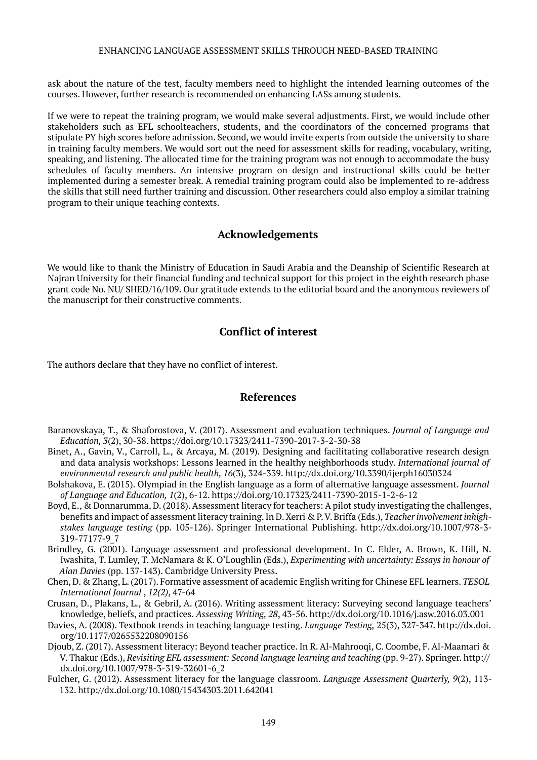ask about the nature of the test, faculty members need to highlight the intended learning outcomes of the courses. However, further research is recommended on enhancing LASs among students.

If we were to repeat the training program, we would make several adjustments. First, we would include other stakeholders such as EFL schoolteachers, students, and the coordinators of the concerned programs that stipulate PY high scores before admission. Second, we would invite experts from outside the university to share in training faculty members. We would sort out the need for assessment skills for reading, vocabulary, writing, speaking, and listening. The allocated time for the training program was not enough to accommodate the busy schedules of faculty members. An intensive program on design and instructional skills could be better implemented during a semester break. A remedial training program could also be implemented to re-address the skills that still need further training and discussion. Other researchers could also employ a similar training program to their unique teaching contexts.

## **Acknowledgements**

We would like to thank the Ministry of Education in Saudi Arabia and the Deanship of Scientific Research at Najran University for their financial funding and technical support for this project in the eighth research phase grant code No. NU/ SHED/16/109. Our gratitude extends to the editorial board and the anonymous reviewers of the manuscript for their constructive comments.

## **Conflict of interest**

The authors declare that they have no conflict of interest.

## **References**

- Baranovskaya, T., & Shaforostova, V. (2017). Assessment and evaluation techniques. *Journal of Language and Education, 3*(2), 30-38. <https://doi.org/10.17323/2411-7390-2017-3-2-30-38>
- Binet, A., Gavin, V., Carroll, L., & Arcaya, M. (2019). Designing and facilitating collaborative research design and data analysis workshops: Lessons learned in the healthy neighborhoods study. *International journal of environmental research and public health, 16*(3), 324-339.<http://dx.doi.org/10.3390/ijerph16030324>
- Bolshakova, E. (2015). Olympiad in the English language as a form of alternative language assessment. *Journal of Language and Education, 1*(2), 6-12. <https://doi.org/10.17323/2411-7390-2015-1-2-6-12>
- Boyd, E., & Donnarumma, D. (2018). Assessment literacy for teachers: A pilot study investigating the challenges, benefits and impact of assessment literacy training. In D. Xerri & P. V. Briffa (Eds.), *Teacher involvement inhighstakes language testing* (pp. 105-126). Springer International Publishing. [http://dx.doi.org/10.1007/978-3-](http://dx.doi.org/10.1007/978-3-319-77177-9_7) [319-77177-9\\_7](http://dx.doi.org/10.1007/978-3-319-77177-9_7)
- Brindley, G. (2001). Language assessment and professional development. In C. Elder, A. Brown, K. Hill, N. Iwashita, T. Lumley, T. McNamara & K. O'Loughlin (Eds.), *Experimenting with uncertainty: Essays in honour of Alan Davies* (pp. 137-143). Cambridge University Press.
- Chen, D. & Zhang, L. (2017). Formative assessment of academic English writing for Chinese EFL learners. *TESOL International Journal* , *12(2)*, 47-64
- Crusan, D., Plakans, L., & Gebril, A. (2016). Writing assessment literacy: Surveying second language teachers' knowledge, beliefs, and practices. *Assessing Writing, 28*, 43-56.<http://dx.doi.org/10.1016/j.asw.2016.03.001>
- Davies, A. (2008). Textbook trends in teaching language testing. *Language Testing,* 25(3), 327-347. http://dx.doi. org/10.1177/0265532208090156
- Djoub, Z. (2017). Assessment literacy: Beyond teacher practice. In R. Al-Mahrooqi, C. Coombe, F. Al-Maamari & V. Thakur (Eds.), *Revisiting EFL assessment: Second language learning and teaching* (pp. 9-27). Springer. [http://](http://dx.doi.org/10.1007/978-3-319-32601-6_2) [dx.doi.org/10.1007/978-3-319-32601-6\\_2](http://dx.doi.org/10.1007/978-3-319-32601-6_2)
- Fulcher, G. (2012). Assessment literacy for the language classroom. *Language Assessment Quarterly, 9*(2), 113- 132. <http://dx.doi.org/10.1080/15434303.2011.642041>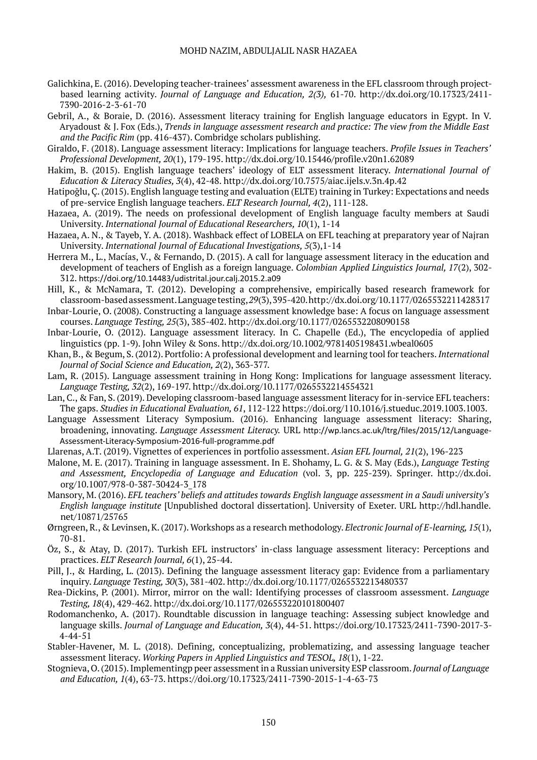- Galichkina, E. (2016). Developing teacher-trainees' assessment awareness in the EFL classroom through projectbased learning activity. *Journal of Language and Education, 2(3),* 61-70. [http://dx.doi.org/10.17323/2411-](http://dx.doi.org/10.17323/2411-7390-2016-2-3-61-70) [7390-2016-2-3-61-70](http://dx.doi.org/10.17323/2411-7390-2016-2-3-61-70)
- Gebril, A., & Boraie, D. (2016). Assessment literacy training for English language educators in Egypt. In V. Aryadoust & J. Fox (Eds.), *Trends in language assessment research and practice: The view from the Middle East and the Pacific Rim* (pp. 416-437). Combridge scholars publishing.
- Giraldo, F. (2018). Language assessment literacy: Implications for language teachers. *Profile Issues in Teachers' Professional Development, 20*(1), 179-195. <http://dx.doi.org/10.15446/profile.v20n1.62089>
- Hakim, B. (2015). English language teachers' ideology of ELT assessment literacy. *International Journal of Education & Literacy Studies, 3*(4), 42-48. http://dx.doi.org/10.7575/aiac.ijels.v.3n.4p.42
- Hatipoğlu, Ç. (2015). English language testing and evaluation (ELTE) training in Turkey: Expectations and needs of pre-service English language teachers. *ELT Research Journal, 4*(2), 111-128.
- Hazaea, A. (2019). The needs on professional development of English language faculty members at Saudi University. *International Journal of Educational Researchers, 10*(1), 1-14
- Hazaea, A. N., & Tayeb, Y. A. (2018). Washback effect of LOBELA on EFL teaching at preparatory year of Najran University. *International Journal of Educational Investigations, 5*(3),1-14
- Herrera M., L., Macías, V., & Fernando, D. (2015). A call for language assessment literacy in the education and development of teachers of English as a foreign language. *Colombian Applied Linguistics Journal, 17*(2), 302- 312. <https://doi.org/10.14483/udistrital.jour.calj.2015.2.a09>
- Hill, K., & McNamara, T. (2012). Developing a comprehensive, empirically based research framework for classroom-based assessment. Language testing, *29*(3), 395-420.<http://dx.doi.org/10.1177/0265532211428317>
- Inbar-Lourie, O. (2008). Constructing a language assessment knowledge base: A focus on language assessment courses. *Language Testing, 25*(3), 385-402.<http://dx.doi.org/10.1177/0265532208090158>
- Inbar-Lourie, O. (2012). Language assessment literacy. In C. Chapelle (Ed.), The encyclopedia of applied linguistics (pp. 1-9). John Wiley & Sons. <http://dx.doi.org/10.1002/9781405198431.wbeal0605>
- Khan, B., & Begum, S. (2012). Portfolio: A professional development and learning tool for teachers. *International Journal of Social Science and Education, 2*(2), 363-377.
- Lam, R. (2015). Language assessment training in Hong Kong: Implications for language assessment literacy. *Language Testing, 32*(2), 169-197. <http://dx.doi.org/10.1177/0265532214554321>
- Lan, C., & Fan, S. (2019). Developing classroom-based language assessment literacy for in-service EFL teachers: The gaps. *Studies in Educational Evaluation, 61*, 112-122 https://doi.org/110.1016/j.stueduc.2019.1003.1003.
- Language Assessment Literacy Symposium. (2016). Enhancing language assessment literacy: Sharing, broadening, innovating. *Language Assessment Literacy.* URL [http://wp.lancs.ac.uk/ltrg/files/2015/12/Language-](http://wp.lancs.ac.uk/ltrg/files/2015/12/Language-Assessment-Literacy-Symposium-2016-full-programme.pdf)[Assessment-Literacy-Symposium-2016-full-programme.pdf](http://wp.lancs.ac.uk/ltrg/files/2015/12/Language-Assessment-Literacy-Symposium-2016-full-programme.pdf)
- Llarenas, A.T. (2019). Vignettes of experiences in portfolio assessment. *Asian EFL Journal, 21*(2), 196-223
- Malone, M. E. (2017). Training in language assessment. In E. Shohamy, L. G. & S. May (Eds.), *Language Testing and Assessment, Encyclopedia of Language and Education* (vol. 3, pp. 225-239). Springer. [http://dx.doi.](http://dx.doi.org/10.1007/978-0-387-30424-3_178) [org/10.1007/978-0-387-30424-3\\_178](http://dx.doi.org/10.1007/978-0-387-30424-3_178)
- Mansory, M. (2016). *EFL teachers' beliefs and attitudes towards English language assessment in a Saudi university's English language institute* [Unpublished doctoral dissertation]. University of Exeter. URL [http://hdl.handle.](http://hdl.handle.net/10871/25765) [net/10871/25765](http://hdl.handle.net/10871/25765)
- Ørngreen, R., & Levinsen, K. (2017). Workshops as a research methodology. *Electronic Journal of E-learning, 15*(1), 70-81.
- Öz, S., & Atay, D. (2017). Turkish EFL instructors' in-class language assessment literacy: Perceptions and practices. *ELT Research Journal, 6*(1), 25-44.
- Pill, J., & Harding, L. (2013). Defining the language assessment literacy gap: Evidence from a parliamentary inquiry. *Language Testing, 30*(3), 381-402. <http://dx.doi.org/10.1177/0265532213480337>
- Rea-Dickins, P. (2001). Mirror, mirror on the wall: Identifying processes of classroom assessment. *Language Testing, 18*(4), 429-462. <http://dx.doi.org/10.1177/026553220101800407>
- Rodomanchenko, A. (2017). Roundtable discussion in language teaching: Assessing subject knowledge and language skills. *Journal of Language and Education, 3*(4), 44-51. [https://doi.org/10.17323/2411-7390-2017-3-](https://doi.org/10.17323/2411-7390-2017-3-4-44-51) [4-44-51](https://doi.org/10.17323/2411-7390-2017-3-4-44-51)
- Stabler-Havener, M. L. (2018). Defining, conceptualizing, problematizing, and assessing language teacher assessment literacy. *Working Papers in Applied Linguistics and TESOL, 18*(1), 1-22.
- Stognieva, O. (2015). Implementingp peer assessment in a Russian university ESP classroom. *Journal of Language and Education, 1*(4), 63-73. <https://doi.org/10.17323/2411-7390-2015-1-4-63-73>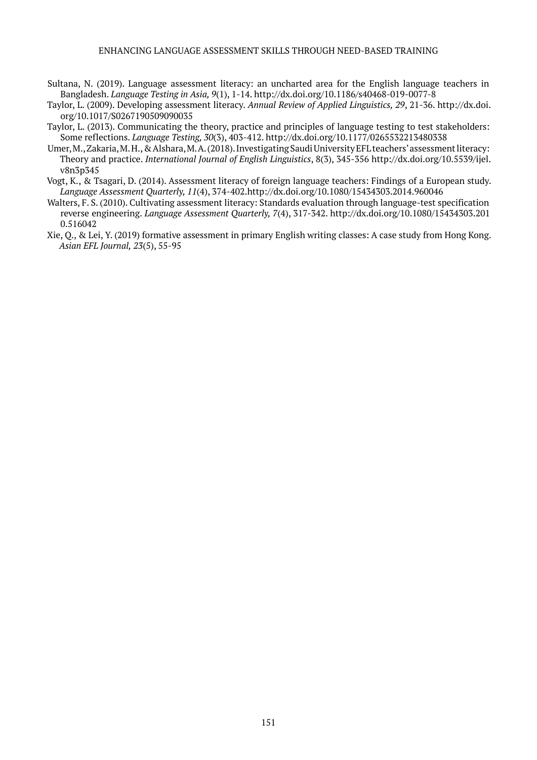- Sultana, N. (2019). Language assessment literacy: an uncharted area for the English language teachers in Bangladesh. *Language Testing in Asia, 9*(1), 1-14. <http://dx.doi.org/10.1186/s40468-019-0077-8>
- Taylor, L. (2009). Developing assessment literacy. *Annual Review of Applied Linguistics, 29*, 21-36. [http://dx.doi.](http://dx.doi.org/10.1017/S0267190509090035) [org/10.1017/S0267190509090035](http://dx.doi.org/10.1017/S0267190509090035)
- Taylor, L. (2013). Communicating the theory, practice and principles of language testing to test stakeholders: Some reflections. *Language Testing, 30*(3), 403-412. <http://dx.doi.org/10.1177/0265532213480338>
- Umer, M., Zakaria, M. H., & Alshara, M. A. (2018). Investigating Saudi University EFL teachers' assessment literacy: Theory and practice. *International Journal of English Linguistics*, 8(3), 345-356 [http://dx.doi.org/10.5539/ijel.](http://dx.doi.org/10.5539/ijel.v8n3p345) [v8n3p345](http://dx.doi.org/10.5539/ijel.v8n3p345)
- Vogt, K., & Tsagari, D. (2014). Assessment literacy of foreign language teachers: Findings of a European study. *Language Assessment Quarterly, 11*(4), 374-402[.http://dx.doi.org/10.1080/15434303.2014.960046](http://dx.doi.org/10.1080/15434303.2014.960046)
- Walters, F. S. (2010). Cultivating assessment literacy: Standards evaluation through language-test specification reverse engineering. *Language Assessment Quarterly, 7*(4), 317-342. [http://dx.doi.org/10.1080/15434303.201](http://dx.doi.org/10.1080/15434303.2010.516042) [0.516042](http://dx.doi.org/10.1080/15434303.2010.516042)
- Xie, Q., & Lei, Y. (2019) formative assessment in primary English writing classes: A case study from Hong Kong. *Asian EFL Journal, 23*(5), 55-95